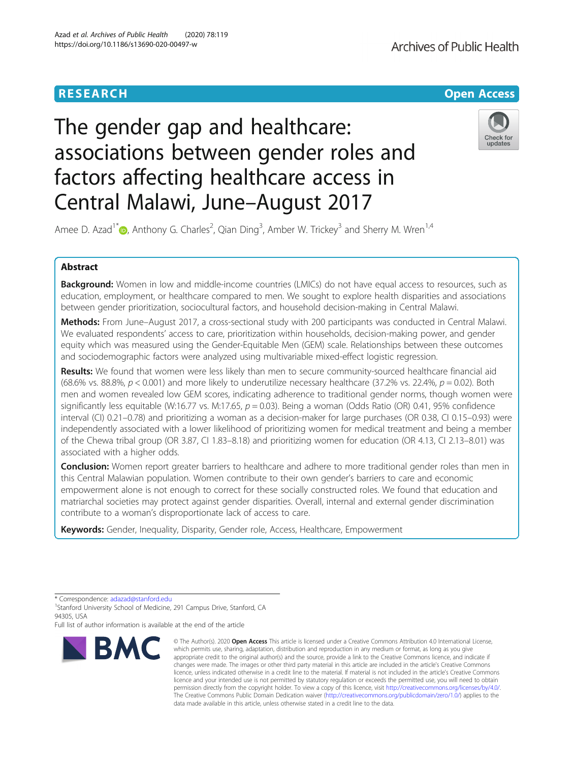# **RESEARCH CHE Open Access**

# The gender gap and healthcare: associations between gender roles and factors affecting healthcare access in Central Malawi, June–August 2017



Amee D. Azad<sup>1[\\*](http://orcid.org/0000-0002-7690-9435)</sup> <sub>(D</sub>, Anthony G. Charles<sup>2</sup>, Qian Ding<sup>3</sup>, Amber W. Trickey<sup>3</sup> and Sherry M. Wren<sup>1,4</sup>

## Abstract

Background: Women in low and middle-income countries (LMICs) do not have equal access to resources, such as education, employment, or healthcare compared to men. We sought to explore health disparities and associations between gender prioritization, sociocultural factors, and household decision-making in Central Malawi.

Methods: From June–August 2017, a cross-sectional study with 200 participants was conducted in Central Malawi. We evaluated respondents' access to care, prioritization within households, decision-making power, and gender equity which was measured using the Gender-Equitable Men (GEM) scale. Relationships between these outcomes and sociodemographic factors were analyzed using multivariable mixed-effect logistic regression.

Results: We found that women were less likely than men to secure community-sourced healthcare financial aid (68.6% vs. 88.8%,  $p < 0.001$ ) and more likely to underutilize necessary healthcare (37.2% vs. 22.4%,  $p = 0.02$ ). Both men and women revealed low GEM scores, indicating adherence to traditional gender norms, though women were significantly less equitable (W:16.77 vs. M:17.65,  $p = 0.03$ ). Being a woman (Odds Ratio (OR) 0.41, 95% confidence interval (CI) 0.21–0.78) and prioritizing a woman as a decision-maker for large purchases (OR 0.38, CI 0.15–0.93) were independently associated with a lower likelihood of prioritizing women for medical treatment and being a member of the Chewa tribal group (OR 3.87, CI 1.83–8.18) and prioritizing women for education (OR 4.13, CI 2.13–8.01) was associated with a higher odds.

**Conclusion:** Women report greater barriers to healthcare and adhere to more traditional gender roles than men in this Central Malawian population. Women contribute to their own gender's barriers to care and economic empowerment alone is not enough to correct for these socially constructed roles. We found that education and matriarchal societies may protect against gender disparities. Overall, internal and external gender discrimination contribute to a woman's disproportionate lack of access to care.

Keywords: Gender, Inequality, Disparity, Gender role, Access, Healthcare, Empowerment

\* Correspondence: [adazad@stanford.edu](mailto:adazad@stanford.edu) <sup>1</sup>

<sup>1</sup>Stanford University School of Medicine, 291 Campus Drive, Stanford, CA 94305, USA

Full list of author information is available at the end of the article



<sup>©</sup> The Author(s), 2020 **Open Access** This article is licensed under a Creative Commons Attribution 4.0 International License, which permits use, sharing, adaptation, distribution and reproduction in any medium or format, as long as you give appropriate credit to the original author(s) and the source, provide a link to the Creative Commons licence, and indicate if changes were made. The images or other third party material in this article are included in the article's Creative Commons licence, unless indicated otherwise in a credit line to the material. If material is not included in the article's Creative Commons licence and your intended use is not permitted by statutory regulation or exceeds the permitted use, you will need to obtain permission directly from the copyright holder. To view a copy of this licence, visit [http://creativecommons.org/licenses/by/4.0/.](http://creativecommons.org/licenses/by/4.0/) The Creative Commons Public Domain Dedication waiver [\(http://creativecommons.org/publicdomain/zero/1.0/](http://creativecommons.org/publicdomain/zero/1.0/)) applies to the data made available in this article, unless otherwise stated in a credit line to the data.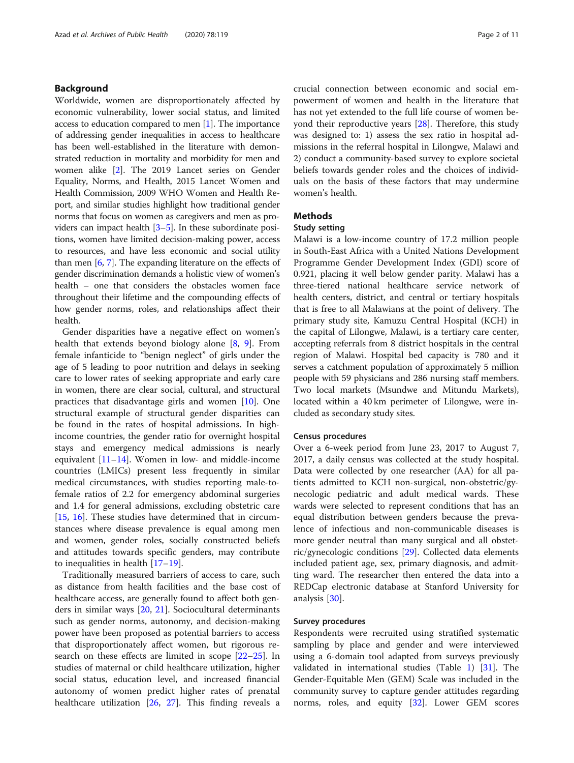### Background

Worldwide, women are disproportionately affected by economic vulnerability, lower social status, and limited access to education compared to men  $[1]$  $[1]$  $[1]$ . The importance of addressing gender inequalities in access to healthcare has been well-established in the literature with demonstrated reduction in mortality and morbidity for men and women alike [[2\]](#page-9-0). The 2019 Lancet series on Gender Equality, Norms, and Health, 2015 Lancet Women and Health Commission, 2009 WHO Women and Health Report, and similar studies highlight how traditional gender norms that focus on women as caregivers and men as providers can impact health [[3](#page-9-0)–[5\]](#page-9-0). In these subordinate positions, women have limited decision-making power, access to resources, and have less economic and social utility than men [\[6,](#page-9-0) [7\]](#page-9-0). The expanding literature on the effects of gender discrimination demands a holistic view of women's health – one that considers the obstacles women face throughout their lifetime and the compounding effects of how gender norms, roles, and relationships affect their health.

Gender disparities have a negative effect on women's health that extends beyond biology alone [[8,](#page-9-0) [9](#page-9-0)]. From female infanticide to "benign neglect" of girls under the age of 5 leading to poor nutrition and delays in seeking care to lower rates of seeking appropriate and early care in women, there are clear social, cultural, and structural practices that disadvantage girls and women [\[10](#page-9-0)]. One structural example of structural gender disparities can be found in the rates of hospital admissions. In highincome countries, the gender ratio for overnight hospital stays and emergency medical admissions is nearly equivalent  $[11-14]$  $[11-14]$  $[11-14]$  $[11-14]$ . Women in low- and middle-income countries (LMICs) present less frequently in similar medical circumstances, with studies reporting male-tofemale ratios of 2.2 for emergency abdominal surgeries and 1.4 for general admissions, excluding obstetric care [[15,](#page-9-0) [16](#page-9-0)]. These studies have determined that in circumstances where disease prevalence is equal among men and women, gender roles, socially constructed beliefs and attitudes towards specific genders, may contribute to inequalities in health [\[17](#page-9-0)–[19\]](#page-9-0).

Traditionally measured barriers of access to care, such as distance from health facilities and the base cost of healthcare access, are generally found to affect both genders in similar ways [[20,](#page-9-0) [21\]](#page-9-0). Sociocultural determinants such as gender norms, autonomy, and decision-making power have been proposed as potential barriers to access that disproportionately affect women, but rigorous research on these effects are limited in scope [[22](#page-9-0)–[25\]](#page-9-0). In studies of maternal or child healthcare utilization, higher social status, education level, and increased financial autonomy of women predict higher rates of prenatal healthcare utilization [[26,](#page-9-0) [27](#page-9-0)]. This finding reveals a

crucial connection between economic and social empowerment of women and health in the literature that has not yet extended to the full life course of women beyond their reproductive years [[28](#page-9-0)]. Therefore, this study was designed to: 1) assess the sex ratio in hospital admissions in the referral hospital in Lilongwe, Malawi and 2) conduct a community-based survey to explore societal beliefs towards gender roles and the choices of individuals on the basis of these factors that may undermine women's health.

#### **Methods**

#### Study setting

Malawi is a low-income country of 17.2 million people in South-East Africa with a United Nations Development Programme Gender Development Index (GDI) score of 0.921, placing it well below gender parity. Malawi has a three-tiered national healthcare service network of health centers, district, and central or tertiary hospitals that is free to all Malawians at the point of delivery. The primary study site, Kamuzu Central Hospital (KCH) in the capital of Lilongwe, Malawi, is a tertiary care center, accepting referrals from 8 district hospitals in the central region of Malawi. Hospital bed capacity is 780 and it serves a catchment population of approximately 5 million people with 59 physicians and 286 nursing staff members. Two local markets (Msundwe and Mitundu Markets), located within a 40 km perimeter of Lilongwe, were included as secondary study sites.

#### Census procedures

Over a 6-week period from June 23, 2017 to August 7, 2017, a daily census was collected at the study hospital. Data were collected by one researcher (AA) for all patients admitted to KCH non-surgical, non-obstetric/gynecologic pediatric and adult medical wards. These wards were selected to represent conditions that has an equal distribution between genders because the prevalence of infectious and non-communicable diseases is more gender neutral than many surgical and all obstetric/gynecologic conditions [\[29\]](#page-9-0). Collected data elements included patient age, sex, primary diagnosis, and admitting ward. The researcher then entered the data into a REDCap electronic database at Stanford University for analysis [\[30\]](#page-9-0).

#### Survey procedures

Respondents were recruited using stratified systematic sampling by place and gender and were interviewed using a 6-domain tool adapted from surveys previously validated in international studies (Table [1](#page-2-0)) [\[31](#page-9-0)]. The Gender-Equitable Men (GEM) Scale was included in the community survey to capture gender attitudes regarding norms, roles, and equity [\[32](#page-9-0)]. Lower GEM scores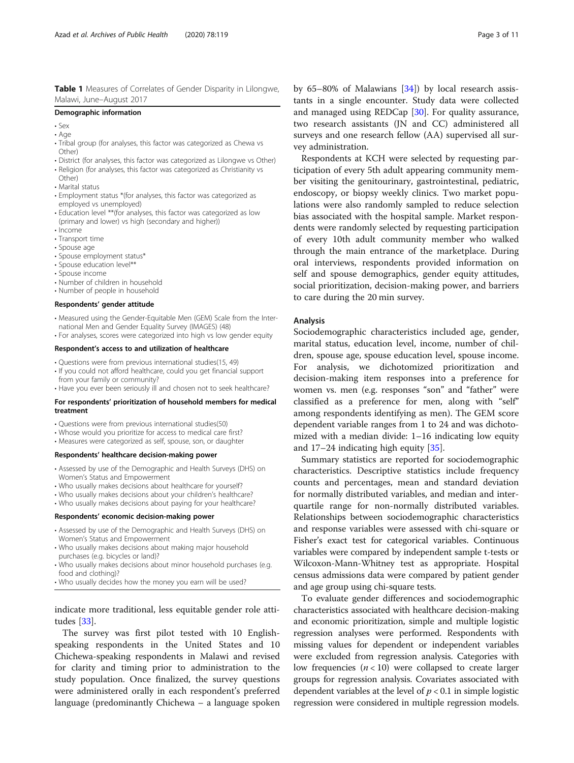<span id="page-2-0"></span>Table 1 Measures of Correlates of Gender Disparity in Lilongwe, Malawi, June–August 2017

#### Demographic information

- Sex
- Age
- Tribal group (for analyses, this factor was categorized as Chewa vs Other)
- District (for analyses, this factor was categorized as Lilongwe vs Other)
- Religion (for analyses, this factor was categorized as Christianity vs Other)
- Marital status
- Employment status \*(for analyses, this factor was categorized as employed vs unemployed)
- Education level \*\*(for analyses, this factor was categorized as low (primary and lower) vs high (secondary and higher))
- Income
- Transport time
- Spouse age
- Spouse employment status\*
- Spouse education level\*\*
- Spouse income
- Number of children in household
- Number of people in household

#### Respondents' gender attitude

- Measured using the Gender-Equitable Men (GEM) Scale from the International Men and Gender Equality Survey (IMAGES) (48)
- For analyses, scores were categorized into high vs low gender equity

#### Respondent's access to and utilization of healthcare

- Questions were from previous international studies(15, 49)
- If you could not afford healthcare, could you get financial support from your family or community?
- Have you ever been seriously ill and chosen not to seek healthcare?

#### For respondents' prioritization of household members for medical treatment

- Questions were from previous international studies(50)
- Whose would you prioritize for access to medical care first?
- Measures were categorized as self, spouse, son, or daughter

#### Respondents' healthcare decision-making power

- Assessed by use of the Demographic and Health Surveys (DHS) on Women's Status and Empowerment
- Who usually makes decisions about healthcare for yourself?
- Who usually makes decisions about your children's healthcare?
- Who usually makes decisions about paying for your healthcare?

#### Respondents' economic decision-making power

- Assessed by use of the Demographic and Health Surveys (DHS) on Women's Status and Empowerment
- Who usually makes decisions about making major household purchases (e.g. bicycles or land)?
- Who usually makes decisions about minor household purchases (e.g. food and clothing)?
- Who usually decides how the money you earn will be used?

indicate more traditional, less equitable gender role attitudes [[33\]](#page-9-0).

The survey was first pilot tested with 10 Englishspeaking respondents in the United States and 10 Chichewa-speaking respondents in Malawi and revised for clarity and timing prior to administration to the study population. Once finalized, the survey questions were administered orally in each respondent's preferred language (predominantly Chichewa – a language spoken

by 65–80% of Malawians [[34](#page-9-0)]) by local research assistants in a single encounter. Study data were collected and managed using REDCap [[30\]](#page-9-0). For quality assurance, two research assistants (JN and CC) administered all

surveys and one research fellow (AA) supervised all survey administration. Respondents at KCH were selected by requesting participation of every 5th adult appearing community member visiting the genitourinary, gastrointestinal, pediatric, endoscopy, or biopsy weekly clinics. Two market populations were also randomly sampled to reduce selection bias associated with the hospital sample. Market respondents were randomly selected by requesting participation of every 10th adult community member who walked through the main entrance of the marketplace. During oral interviews, respondents provided information on self and spouse demographics, gender equity attitudes, social prioritization, decision-making power, and barriers

#### Analysis

to care during the 20 min survey.

Sociodemographic characteristics included age, gender, marital status, education level, income, number of children, spouse age, spouse education level, spouse income. For analysis, we dichotomized prioritization and decision-making item responses into a preference for women vs. men (e.g. responses "son" and "father" were classified as a preference for men, along with "self" among respondents identifying as men). The GEM score dependent variable ranges from 1 to 24 and was dichotomized with a median divide: 1–16 indicating low equity and 17–24 indicating high equity [[35](#page-9-0)].

Summary statistics are reported for sociodemographic characteristics. Descriptive statistics include frequency counts and percentages, mean and standard deviation for normally distributed variables, and median and interquartile range for non-normally distributed variables. Relationships between sociodemographic characteristics and response variables were assessed with chi-square or Fisher's exact test for categorical variables. Continuous variables were compared by independent sample t-tests or Wilcoxon-Mann-Whitney test as appropriate. Hospital census admissions data were compared by patient gender and age group using chi-square tests.

To evaluate gender differences and sociodemographic characteristics associated with healthcare decision-making and economic prioritization, simple and multiple logistic regression analyses were performed. Respondents with missing values for dependent or independent variables were excluded from regression analysis. Categories with low frequencies  $(n < 10)$  were collapsed to create larger groups for regression analysis. Covariates associated with dependent variables at the level of  $p < 0.1$  in simple logistic regression were considered in multiple regression models.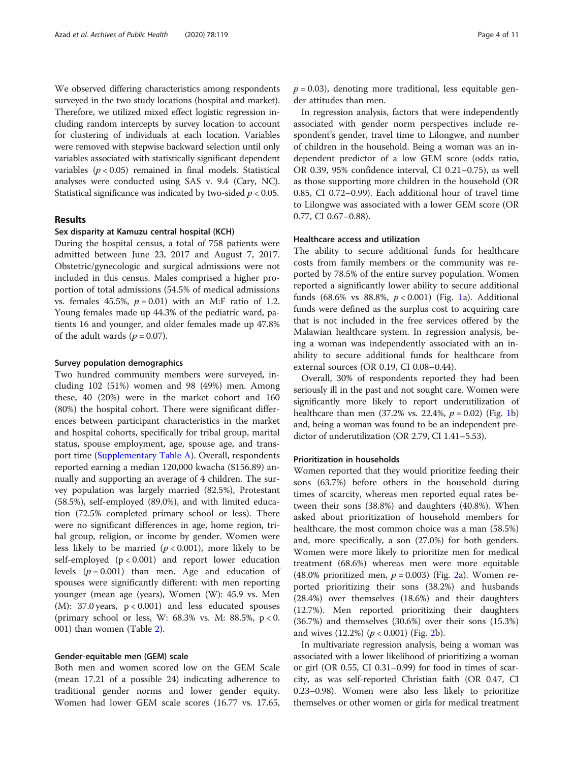We observed differing characteristics among respondents surveyed in the two study locations (hospital and market). Therefore, we utilized mixed effect logistic regression including random intercepts by survey location to account for clustering of individuals at each location. Variables were removed with stepwise backward selection until only variables associated with statistically significant dependent variables ( $p < 0.05$ ) remained in final models. Statistical analyses were conducted using SAS v. 9.4 (Cary, NC). Statistical significance was indicated by two-sided  $p < 0.05$ .

#### Results

#### Sex disparity at Kamuzu central hospital (KCH)

During the hospital census, a total of 758 patients were admitted between June 23, 2017 and August 7, 2017. Obstetric/gynecologic and surgical admissions were not included in this census. Males comprised a higher proportion of total admissions (54.5% of medical admissions vs. females 45.5%,  $p = 0.01$ ) with an M:F ratio of 1.2. Young females made up 44.3% of the pediatric ward, patients 16 and younger, and older females made up 47.8% of the adult wards ( $p = 0.07$ ).

#### Survey population demographics

Two hundred community members were surveyed, including 102 (51%) women and 98 (49%) men. Among these, 40 (20%) were in the market cohort and 160 (80%) the hospital cohort. There were significant differences between participant characteristics in the market and hospital cohorts, specifically for tribal group, marital status, spouse employment, age, spouse age, and transport time [\(Supplementary Table A](#page-8-0)). Overall, respondents reported earning a median 120,000 kwacha (\$156.89) annually and supporting an average of 4 children. The survey population was largely married (82.5%), Protestant (58.5%), self-employed (89.0%), and with limited education (72.5% completed primary school or less). There were no significant differences in age, home region, tribal group, religion, or income by gender. Women were less likely to be married ( $p < 0.001$ ), more likely to be self-employed (p < 0.001) and report lower education levels  $(p = 0.001)$  than men. Age and education of spouses were significantly different: with men reporting younger (mean age (years), Women (W): 45.9 vs. Men (M): 37.0 years,  $p < 0.001$ ) and less educated spouses (primary school or less, W:  $68.3\%$  vs. M:  $88.5\%$ ,  $p < 0$ . 001) than women (Table [2\)](#page-4-0).

#### Gender-equitable men (GEM) scale

Both men and women scored low on the GEM Scale (mean 17.21 of a possible 24) indicating adherence to traditional gender norms and lower gender equity. Women had lower GEM scale scores (16.77 vs. 17.65,  $p = 0.03$ ), denoting more traditional, less equitable gender attitudes than men.

In regression analysis, factors that were independently associated with gender norm perspectives include respondent's gender, travel time to Lilongwe, and number of children in the household. Being a woman was an independent predictor of a low GEM score (odds ratio, OR 0.39, 95% confidence interval, CI 0.21–0.75), as well as those supporting more children in the household (OR 0.85, CI 0.72–0.99). Each additional hour of travel time to Lilongwe was associated with a lower GEM score (OR 0.77, CI 0.67–0.88).

#### Healthcare access and utilization

The ability to secure additional funds for healthcare costs from family members or the community was reported by 78.5% of the entire survey population. Women reported a significantly lower ability to secure additional funds (68.6% vs 88.8%,  $p < 0.001$ ) (Fig. [1a](#page-5-0)). Additional funds were defined as the surplus cost to acquiring care that is not included in the free services offered by the Malawian healthcare system. In regression analysis, being a woman was independently associated with an inability to secure additional funds for healthcare from external sources (OR 0.19, CI 0.08–0.44).

Overall, 30% of respondents reported they had been seriously ill in the past and not sought care. Women were significantly more likely to report underutilization of healthcare than men  $(37.2\% \text{ vs. } 22.4\%, p = 0.02)$  (Fig. [1](#page-5-0)b) and, being a woman was found to be an independent predictor of underutilization (OR 2.79, CI 1.41–5.53).

#### Prioritization in households

Women reported that they would prioritize feeding their sons (63.7%) before others in the household during times of scarcity, whereas men reported equal rates between their sons (38.8%) and daughters (40.8%). When asked about prioritization of household members for healthcare, the most common choice was a man (58.5%) and, more specifically, a son (27.0%) for both genders. Women were more likely to prioritize men for medical treatment (68.6%) whereas men were more equitable (48.0% prioritized men,  $p = 0.003$ ) (Fig. [2](#page-6-0)a). Women reported prioritizing their sons (38.2%) and husbands (28.4%) over themselves (18.6%) and their daughters (12.7%). Men reported prioritizing their daughters (36.7%) and themselves (30.6%) over their sons (15.3%) and wives  $(12.2%) (p < 0.001)$  (Fig. [2b](#page-6-0)).

In multivariate regression analysis, being a woman was associated with a lower likelihood of prioritizing a woman or girl (OR 0.55, CI 0.31–0.99) for food in times of scarcity, as was self-reported Christian faith (OR 0.47, CI 0.23–0.98). Women were also less likely to prioritize themselves or other women or girls for medical treatment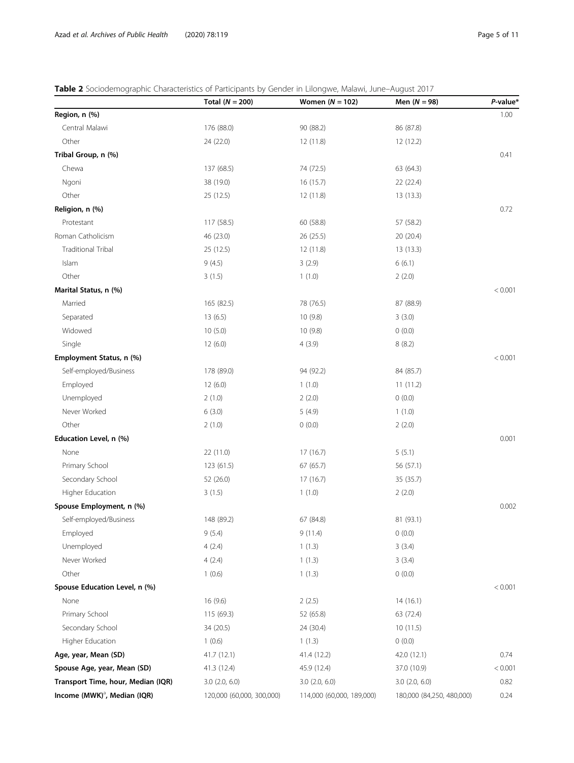# <span id="page-4-0"></span>Table 2 Sociodemographic Characteristics of Participants by Gender in Lilongwe, Malawi, June–August 2017

|                                          | Total $(N = 200)$         | Women $(N = 102)$         | Men $(N = 98)$            | $P$ -value* |
|------------------------------------------|---------------------------|---------------------------|---------------------------|-------------|
| Region, n (%)                            |                           |                           |                           | 1.00        |
| Central Malawi                           | 176 (88.0)                | 90 (88.2)                 | 86 (87.8)                 |             |
| Other                                    | 24 (22.0)                 | 12 (11.8)                 | 12 (12.2)                 |             |
| Tribal Group, n (%)                      |                           |                           |                           | 0.41        |
| Chewa                                    | 137 (68.5)                | 74 (72.5)                 | 63 (64.3)                 |             |
| Ngoni                                    | 38 (19.0)                 | 16(15.7)                  | 22 (22.4)                 |             |
| Other                                    | 25 (12.5)                 | 12 (11.8)                 | 13 (13.3)                 |             |
| Religion, n (%)                          |                           |                           |                           | 0.72        |
| Protestant                               | 117 (58.5)                | 60 (58.8)                 | 57 (58.2)                 |             |
| Roman Catholicism                        | 46 (23.0)                 | 26 (25.5)                 | 20 (20.4)                 |             |
| <b>Traditional Tribal</b>                | 25 (12.5)                 | 12 (11.8)                 | 13(13.3)                  |             |
| Islam                                    | 9(4.5)                    | 3(2.9)                    | 6(6.1)                    |             |
| Other                                    | 3(1.5)                    | 1(1.0)                    | 2(2.0)                    |             |
| Marital Status, n (%)                    |                           |                           |                           | < 0.001     |
| Married                                  | 165 (82.5)                | 78 (76.5)                 | 87 (88.9)                 |             |
| Separated                                | 13(6.5)                   | 10 (9.8)                  | 3(3.0)                    |             |
| Widowed                                  | 10(5.0)                   | 10 (9.8)                  | 0(0.0)                    |             |
| Single                                   | 12(6.0)                   | 4(3.9)                    | 8(8.2)                    |             |
| Employment Status, n (%)                 |                           |                           |                           | < 0.001     |
| Self-employed/Business                   | 178 (89.0)                | 94 (92.2)                 | 84 (85.7)                 |             |
| Employed                                 | 12(6.0)                   | 1(1.0)                    | 11(11.2)                  |             |
| Unemployed                               | 2(1.0)                    | 2(2.0)                    | 0(0.0)                    |             |
| Never Worked                             | 6(3.0)                    | 5(4.9)                    | 1(1.0)                    |             |
| Other                                    | 2(1.0)                    | 0(0.0)                    | 2(2.0)                    |             |
| Education Level, n (%)                   |                           |                           |                           | 0.001       |
| None                                     | 22 (11.0)                 | 17 (16.7)                 | 5(5.1)                    |             |
| Primary School                           | 123 (61.5)                | 67(65.7)                  | 56 (57.1)                 |             |
| Secondary School                         | 52 (26.0)                 | 17(16.7)                  | 35 (35.7)                 |             |
| Higher Education                         | 3(1.5)                    | 1(1.0)                    | 2(2.0)                    |             |
| Spouse Employment, n (%)                 |                           |                           |                           | 0.002       |
| Self-employed/Business                   | 148 (89.2)                | 67 (84.8)                 | 81 (93.1)                 |             |
| Employed                                 | 9(5.4)                    | 9(11.4)                   | 0(0.0)                    |             |
| Unemployed                               | 4(2.4)                    | 1(1.3)                    | 3(3.4)                    |             |
| Never Worked                             | 4(2.4)                    | 1(1.3)                    | 3(3.4)                    |             |
| Other                                    | 1(0.6)                    | 1(1.3)                    | 0(0.0)                    |             |
| Spouse Education Level, n (%)            |                           |                           |                           | < 0.001     |
| None                                     | 16 (9.6)                  | 2(2.5)                    | 14(16.1)                  |             |
| Primary School                           | 115 (69.3)                | 52 (65.8)                 | 63 (72.4)                 |             |
| Secondary School                         | 34 (20.5)                 | 24 (30.4)                 | 10(11.5)                  |             |
| Higher Education                         | 1(0.6)                    | 1(1.3)                    | 0(0.0)                    |             |
| Age, year, Mean (SD)                     | 41.7 (12.1)               | 41.4 (12.2)               | 42.0 (12.1)               | 0.74        |
| Spouse Age, year, Mean (SD)              | 41.3 (12.4)               | 45.9 (12.4)               | 37.0 (10.9)               | < 0.001     |
| Transport Time, hour, Median (IQR)       | $3.0$ $(2.0, 6.0)$        | $3.0$ $(2.0, 6.0)$        | $3.0$ $(2.0, 6.0)$        | 0.82        |
| Income (MWK) <sup>a</sup> , Median (IQR) | 120,000 (60,000, 300,000) | 114,000 (60,000, 189,000) | 180,000 (84,250, 480,000) | 0.24        |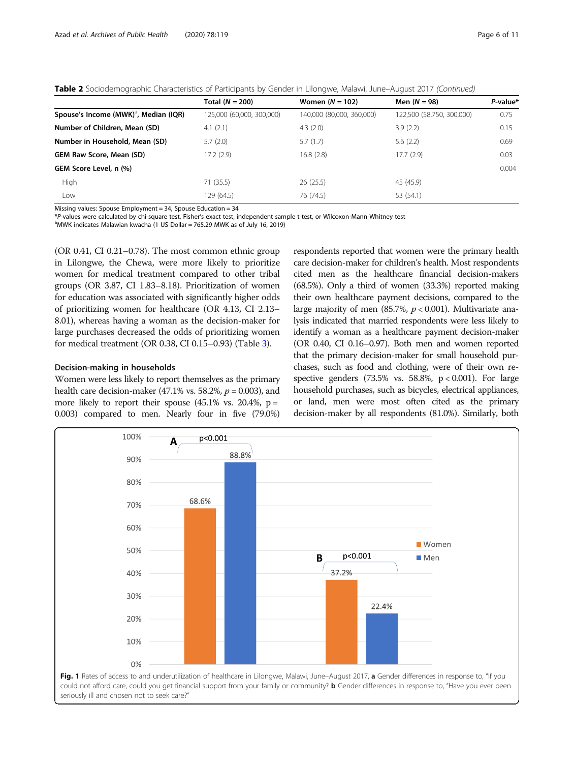<span id="page-5-0"></span>Table 2 Sociodemographic Characteristics of Participants by Gender in Lilongwe, Malawi, June–August 2017 (Continued)

|                                                   | Total $(N = 200)$         | Women $(N = 102)$         | Men $(N = 98)$            | P-value* |
|---------------------------------------------------|---------------------------|---------------------------|---------------------------|----------|
| Spouse's Income (MWK) <sup>3</sup> , Median (IQR) | 125,000 (60,000, 300,000) | 140,000 (80,000, 360,000) | 122,500 (58,750, 300,000) | 0.75     |
| Number of Children, Mean (SD)                     | 4.1 $(2.1)$               | 4.3(2.0)                  | 3.9(2.2)                  | 0.15     |
| Number in Household, Mean (SD)                    | 5.7(2.0)                  | 5.7(1.7)                  | 5.6(2.2)                  | 0.69     |
| <b>GEM Raw Score, Mean (SD)</b>                   | 17.2(2.9)                 | 16.8(2.8)                 | 17.7 (2.9)                | 0.03     |
| GEM Score Level, n (%)                            |                           |                           |                           | 0.004    |
| High                                              | 71 (35.5)                 | 26 (25.5)                 | 45 (45.9)                 |          |
| Low                                               | 129 (64.5)                | 76 (74.5)                 | 53 (54.1)                 |          |

Missing values: Spouse Employment = 34, Spouse Education = 34

\*P-values were calculated by chi-square test, Fisher's exact test, independent sample t-test, or Wilcoxon-Mann-Whitney test <sup>a</sup>

<sup>a</sup>MWK indicates Malawian kwacha (1 US Dollar = 765.29 MWK as of July 16, 2019)

(OR 0.41, CI 0.21–0.78). The most common ethnic group in Lilongwe, the Chewa, were more likely to prioritize women for medical treatment compared to other tribal groups (OR 3.87, CI 1.83–8.18). Prioritization of women for education was associated with significantly higher odds of prioritizing women for healthcare (OR 4.13, CI 2.13– 8.01), whereas having a woman as the decision-maker for large purchases decreased the odds of prioritizing women for medical treatment (OR 0.38, CI 0.15–0.93) (Table [3\)](#page-7-0).

#### Decision-making in households

Women were less likely to report themselves as the primary health care decision-maker (47.1% vs. 58.2%,  $p = 0.003$ ), and more likely to report their spouse  $(45.1\% \text{ vs. } 20.4\%, \text{ p} =$ 0.003) compared to men. Nearly four in five (79.0%) respondents reported that women were the primary health care decision-maker for children's health. Most respondents cited men as the healthcare financial decision-makers (68.5%). Only a third of women (33.3%) reported making their own healthcare payment decisions, compared to the large majority of men (85.7%,  $p < 0.001$ ). Multivariate analysis indicated that married respondents were less likely to identify a woman as a healthcare payment decision-maker (OR 0.40, CI 0.16–0.97). Both men and women reported that the primary decision-maker for small household purchases, such as food and clothing, were of their own respective genders  $(73.5\% \text{ vs. } 58.8\%, \text{ p} < 0.001)$ . For large household purchases, such as bicycles, electrical appliances, or land, men were most often cited as the primary decision-maker by all respondents (81.0%). Similarly, both

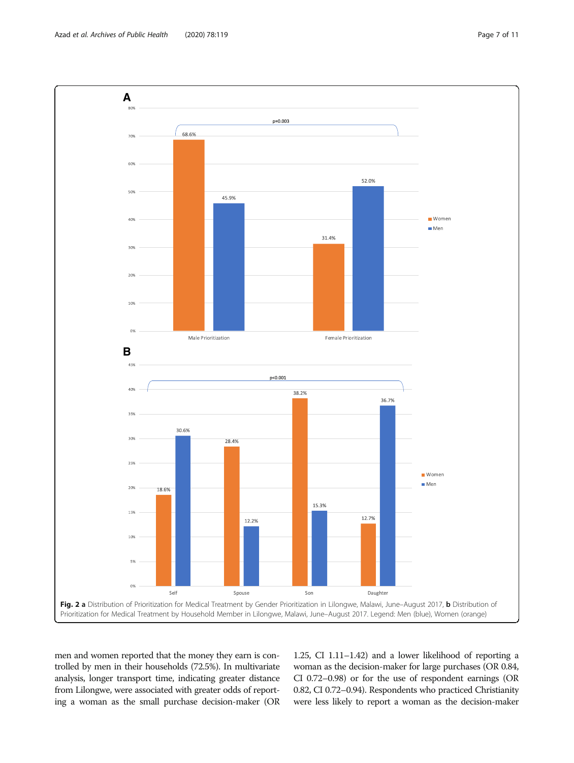<span id="page-6-0"></span>Azad et al. Archives of Public Health (2020) 78:119 Page 7 of 11



men and women reported that the money they earn is controlled by men in their households (72.5%). In multivariate analysis, longer transport time, indicating greater distance from Lilongwe, were associated with greater odds of reporting a woman as the small purchase decision-maker (OR 1.25, CI 1.11–1.42) and a lower likelihood of reporting a woman as the decision-maker for large purchases (OR 0.84, CI 0.72–0.98) or for the use of respondent earnings (OR 0.82, CI 0.72–0.94). Respondents who practiced Christianity were less likely to report a woman as the decision-maker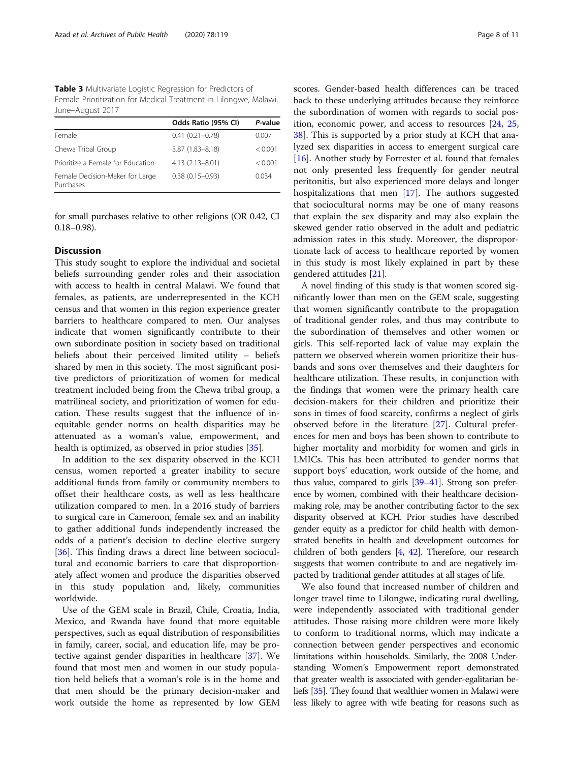<span id="page-7-0"></span>Table 3 Multivariate Logistic Regression for Predictors of Female Prioritization for Medical Treatment in Lilongwe, Malawi, June–August 2017

|                                              | Odds Ratio (95% CI) | P-value |
|----------------------------------------------|---------------------|---------|
| Female                                       | $0.41(0.21 - 0.78)$ | 0.007   |
| Chewa Tribal Group                           | $3.87(1.83 - 8.18)$ | < 0.001 |
| Prioritize a Female for Education            | $4.13(2.13 - 8.01)$ | < 0.001 |
| Female Decision-Maker for Large<br>Purchases | $0.38(0.15 - 0.93)$ | 0.034   |

for small purchases relative to other religions (OR 0.42, CI 0.18–0.98).

#### **Discussion**

This study sought to explore the individual and societal beliefs surrounding gender roles and their association with access to health in central Malawi. We found that females, as patients, are underrepresented in the KCH census and that women in this region experience greater barriers to healthcare compared to men. Our analyses indicate that women significantly contribute to their own subordinate position in society based on traditional beliefs about their perceived limited utility – beliefs shared by men in this society. The most significant positive predictors of prioritization of women for medical treatment included being from the Chewa tribal group, a matrilineal society, and prioritization of women for education. These results suggest that the influence of inequitable gender norms on health disparities may be attenuated as a woman's value, empowerment, and health is optimized, as observed in prior studies [[35](#page-9-0)].

In addition to the sex disparity observed in the KCH census, women reported a greater inability to secure additional funds from family or community members to offset their healthcare costs, as well as less healthcare utilization compared to men. In a 2016 study of barriers to surgical care in Cameroon, female sex and an inability to gather additional funds independently increased the odds of a patient's decision to decline elective surgery [[36\]](#page-9-0). This finding draws a direct line between sociocultural and economic barriers to care that disproportionately affect women and produce the disparities observed in this study population and, likely, communities worldwide.

Use of the GEM scale in Brazil, Chile, Croatia, India, Mexico, and Rwanda have found that more equitable perspectives, such as equal distribution of responsibilities in family, career, social, and education life, may be protective against gender disparities in healthcare [\[37](#page-9-0)]. We found that most men and women in our study population held beliefs that a woman's role is in the home and that men should be the primary decision-maker and work outside the home as represented by low GEM scores. Gender-based health differences can be traced back to these underlying attitudes because they reinforce the subordination of women with regards to social position, economic power, and access to resources [[24](#page-9-0), [25](#page-9-0), [38\]](#page-9-0). This is supported by a prior study at KCH that analyzed sex disparities in access to emergent surgical care [[16\]](#page-9-0). Another study by Forrester et al. found that females not only presented less frequently for gender neutral peritonitis, but also experienced more delays and longer hospitalizations that men [\[17\]](#page-9-0). The authors suggested that sociocultural norms may be one of many reasons that explain the sex disparity and may also explain the skewed gender ratio observed in the adult and pediatric admission rates in this study. Moreover, the disproportionate lack of access to healthcare reported by women in this study is most likely explained in part by these gendered attitudes [\[21](#page-9-0)].

A novel finding of this study is that women scored significantly lower than men on the GEM scale, suggesting that women significantly contribute to the propagation of traditional gender roles, and thus may contribute to the subordination of themselves and other women or girls. This self-reported lack of value may explain the pattern we observed wherein women prioritize their husbands and sons over themselves and their daughters for healthcare utilization. These results, in conjunction with the findings that women were the primary health care decision-makers for their children and prioritize their sons in times of food scarcity, confirms a neglect of girls observed before in the literature [\[27](#page-9-0)]. Cultural preferences for men and boys has been shown to contribute to higher mortality and morbidity for women and girls in LMICs. This has been attributed to gender norms that support boys' education, work outside of the home, and thus value, compared to girls [\[39](#page-9-0)–[41](#page-9-0)]. Strong son preference by women, combined with their healthcare decisionmaking role, may be another contributing factor to the sex disparity observed at KCH. Prior studies have described gender equity as a predictor for child health with demonstrated benefits in health and development outcomes for children of both genders [\[4,](#page-9-0) [42\]](#page-9-0). Therefore, our research suggests that women contribute to and are negatively impacted by traditional gender attitudes at all stages of life.

We also found that increased number of children and longer travel time to Lilongwe, indicating rural dwelling, were independently associated with traditional gender attitudes. Those raising more children were more likely to conform to traditional norms, which may indicate a connection between gender perspectives and economic limitations within households. Similarly, the 2008 Understanding Women's Empowerment report demonstrated that greater wealth is associated with gender-egalitarian beliefs [[35\]](#page-9-0). They found that wealthier women in Malawi were less likely to agree with wife beating for reasons such as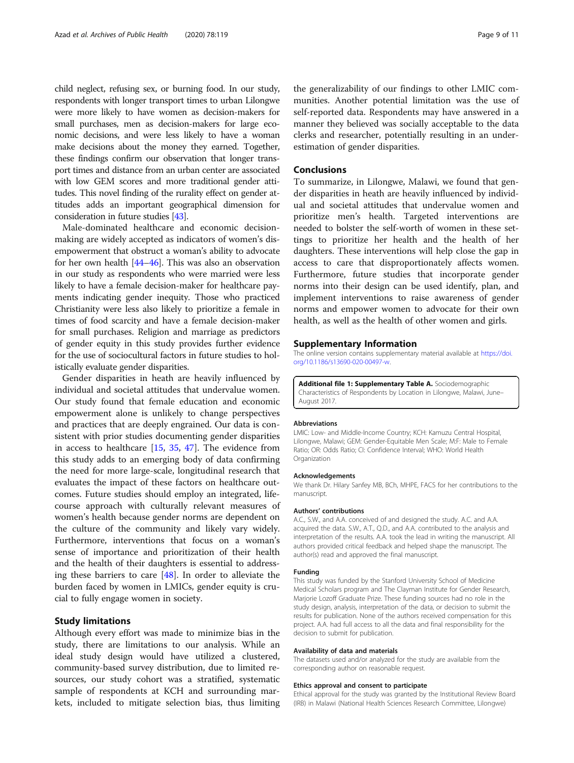<span id="page-8-0"></span>child neglect, refusing sex, or burning food. In our study, respondents with longer transport times to urban Lilongwe were more likely to have women as decision-makers for small purchases, men as decision-makers for large economic decisions, and were less likely to have a woman make decisions about the money they earned. Together, these findings confirm our observation that longer transport times and distance from an urban center are associated with low GEM scores and more traditional gender attitudes. This novel finding of the rurality effect on gender attitudes adds an important geographical dimension for consideration in future studies [\[43\]](#page-10-0).

Male-dominated healthcare and economic decisionmaking are widely accepted as indicators of women's disempowerment that obstruct a woman's ability to advocate for her own health [\[44](#page-10-0)–[46\]](#page-10-0). This was also an observation in our study as respondents who were married were less likely to have a female decision-maker for healthcare payments indicating gender inequity. Those who practiced Christianity were less also likely to prioritize a female in times of food scarcity and have a female decision-maker for small purchases. Religion and marriage as predictors of gender equity in this study provides further evidence for the use of sociocultural factors in future studies to holistically evaluate gender disparities.

Gender disparities in heath are heavily influenced by individual and societal attitudes that undervalue women. Our study found that female education and economic empowerment alone is unlikely to change perspectives and practices that are deeply engrained. Our data is consistent with prior studies documenting gender disparities in access to healthcare [[15](#page-9-0), [35](#page-9-0), [47\]](#page-10-0). The evidence from this study adds to an emerging body of data confirming the need for more large-scale, longitudinal research that evaluates the impact of these factors on healthcare outcomes. Future studies should employ an integrated, lifecourse approach with culturally relevant measures of women's health because gender norms are dependent on the culture of the community and likely vary widely. Furthermore, interventions that focus on a woman's sense of importance and prioritization of their health and the health of their daughters is essential to addressing these barriers to care  $[48]$  $[48]$ . In order to alleviate the burden faced by women in LMICs, gender equity is crucial to fully engage women in society.

#### Study limitations

Although every effort was made to minimize bias in the study, there are limitations to our analysis. While an ideal study design would have utilized a clustered, community-based survey distribution, due to limited resources, our study cohort was a stratified, systematic sample of respondents at KCH and surrounding markets, included to mitigate selection bias, thus limiting the generalizability of our findings to other LMIC communities. Another potential limitation was the use of self-reported data. Respondents may have answered in a manner they believed was socially acceptable to the data clerks and researcher, potentially resulting in an underestimation of gender disparities.

#### Conclusions

To summarize, in Lilongwe, Malawi, we found that gender disparities in heath are heavily influenced by individual and societal attitudes that undervalue women and prioritize men's health. Targeted interventions are needed to bolster the self-worth of women in these settings to prioritize her health and the health of her daughters. These interventions will help close the gap in access to care that disproportionately affects women. Furthermore, future studies that incorporate gender norms into their design can be used identify, plan, and implement interventions to raise awareness of gender norms and empower women to advocate for their own health, as well as the health of other women and girls.

#### Supplementary Information

The online version contains supplementary material available at [https://doi.](https://doi.org/10.1186/s13690-020-00497-w) [org/10.1186/s13690-020-00497-w](https://doi.org/10.1186/s13690-020-00497-w).

Additional file 1: Supplementary Table A. Sociodemographic Characteristics of Respondents by Location in Lilongwe, Malawi, June– August 2017.

#### Abbreviations

LMIC: Low- and Middle-Income Country; KCH: Kamuzu Central Hospital, Lilongwe, Malawi; GEM: Gender-Equitable Men Scale; M:F: Male to Female Ratio; OR: Odds Ratio; CI: Confidence Interval; WHO: World Health **Organization** 

#### Acknowledgements

We thank Dr. Hilary Sanfey MB, BCh, MHPE, FACS for her contributions to the manuscript.

#### Authors' contributions

A.C., S.W., and A.A. conceived of and designed the study. A.C. and A.A. acquired the data. S.W., A.T., Q.D., and A.A. contributed to the analysis and interpretation of the results. A.A. took the lead in writing the manuscript. All authors provided critical feedback and helped shape the manuscript. The author(s) read and approved the final manuscript.

#### Funding

This study was funded by the Stanford University School of Medicine Medical Scholars program and The Clayman Institute for Gender Research, Marjorie Lozoff Graduate Prize. These funding sources had no role in the study design, analysis, interpretation of the data, or decision to submit the results for publication. None of the authors received compensation for this project. A.A. had full access to all the data and final responsibility for the decision to submit for publication.

#### Availability of data and materials

The datasets used and/or analyzed for the study are available from the corresponding author on reasonable request.

#### Ethics approval and consent to participate

Ethical approval for the study was granted by the Institutional Review Board (IRB) in Malawi (National Health Sciences Research Committee, Lilongwe)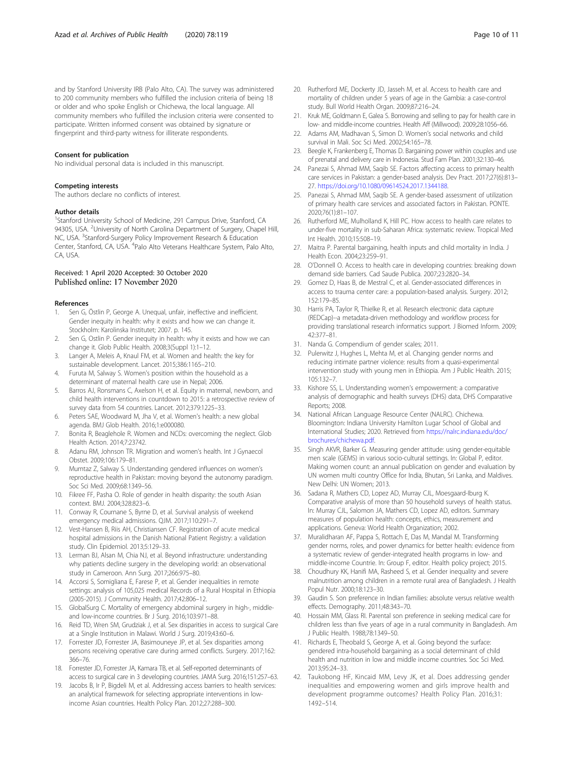<span id="page-9-0"></span>and by Stanford University IRB (Palo Alto, CA). The survey was administered to 200 community members who fulfilled the inclusion criteria of being 18 or older and who spoke English or Chichewa, the local language. All community members who fulfilled the inclusion criteria were consented to participate. Written informed consent was obtained by signature or fingerprint and third-party witness for illiterate respondents.

#### Consent for publication

No individual personal data is included in this manuscript.

#### Competing interests

The authors declare no conflicts of interest.

#### Author details

<sup>1</sup>Stanford University School of Medicine, 291 Campus Drive, Stanford, CA 94305, USA. <sup>2</sup>University of North Carolina Department of Surgery, Chapel Hill, NC, USA. <sup>3</sup>Stanford-Surgery Policy Improvement Research & Education Center, Stanford, CA, USA. <sup>4</sup>Palo Alto Veterans Healthcare System, Palo Alto, CA, USA.

#### Received: 1 April 2020 Accepted: 30 October 2020 Published online: 17 November 2020

#### References

- 1. Sen G, Östlin P, George A. Unequal, unfair, ineffective and inefficient. Gender inequity in health: why it exists and how we can change it. Stockholm: Karolinska Institutet; 2007. p. 145.
- 2. Sen G, Ostlin P. Gender inequity in health: why it exists and how we can change it. Glob Public Health. 2008;3(Suppl 1):1–12.
- 3. Langer A, Meleis A, Knaul FM, et al. Women and health: the key for sustainable development. Lancet. 2015;386:1165–210.
- 4. Furuta M, Salway S. Women's position within the household as a determinant of maternal health care use in Nepal; 2006.
- 5. Barros AJ, Ronsmans C, Axelson H, et al. Equity in maternal, newborn, and child health interventions in countdown to 2015: a retrospective review of survey data from 54 countries. Lancet. 2012;379:1225–33.
- 6. Peters SAE, Woodward M, Jha V, et al. Women's health: a new global agenda. BMJ Glob Health. 2016;1:e000080.
- 7. Bonita R, Beaglehole R. Women and NCDs: overcoming the neglect. Glob Health Action. 2014;7:23742.
- 8. Adanu RM, Johnson TR. Migration and women's health. Int J Gynaecol Obstet. 2009;106:179–81.
- 9. Mumtaz Z, Salway S. Understanding gendered influences on women's reproductive health in Pakistan: moving beyond the autonomy paradigm. Soc Sci Med. 2009;68:1349–56.
- 10. Fikree FF, Pasha O. Role of gender in health disparity: the south Asian context. BMJ. 2004;328:823–6.
- 11. Conway R, Cournane S, Byrne D, et al. Survival analysis of weekend emergency medical admissions. QJM. 2017;110:291–7.
- 12. Vest-Hansen B, Riis AH, Christiansen CF. Registration of acute medical hospital admissions in the Danish National Patient Registry: a validation study. Clin Epidemiol. 2013;5:129–33.
- 13. Lerman BJ, Alsan M, Chia NJ, et al. Beyond infrastructure: understanding why patients decline surgery in the developing world: an observational study in Cameroon. Ann Surg. 2017;266:975–80.
- 14. Accorsi S, Somigliana E, Farese P, et al. Gender inequalities in remote settings: analysis of 105,025 medical Records of a Rural Hospital in Ethiopia (2005-2015). J Community Health. 2017;42:806–12.
- 15. GlobalSurg C. Mortality of emergency abdominal surgery in high-, middleand low-income countries. Br J Surg. 2016;103:971–88.
- Reid TD, Wren SM, Grudziak J, et al. Sex disparities in access to surgical Care at a Single Institution in Malawi. World J Surg. 2019;43:60–6.
- 17. Forrester JD, Forrester JA, Basimouneye JP, et al. Sex disparities among persons receiving operative care during armed conflicts. Surgery. 2017;162: 366–76.
- 18. Forrester JD, Forrester JA, Kamara TB, et al. Self-reported determinants of access to surgical care in 3 developing countries. JAMA Surg. 2016;151:257–63.
- 19. Jacobs B, Ir P, Bigdeli M, et al. Addressing access barriers to health services: an analytical framework for selecting appropriate interventions in lowincome Asian countries. Health Policy Plan. 2012;27:288–300.
- 20. Rutherford ME, Dockerty JD, Jasseh M, et al. Access to health care and mortality of children under 5 years of age in the Gambia: a case-control study. Bull World Health Organ. 2009;87:216–24.
- 21. Kruk ME, Goldmann E, Galea S. Borrowing and selling to pay for health care in low- and middle-income countries. Health Aff (Millwood). 2009;28:1056–66.
- 22. Adams AM, Madhavan S, Simon D. Women's social networks and child survival in Mali. Soc Sci Med. 2002;54:165–78.
- 23. Beegle K, Frankenberg E, Thomas D. Bargaining power within couples and use of prenatal and delivery care in Indonesia. Stud Fam Plan. 2001;32:130–46.
- 24. Panezai S, Ahmad MM, Saqib SE. Factors affecting access to primary health care services in Pakistan: a gender-based analysis. Dev Pract. 2017;27(6):813– 27. <https://doi.org/10.1080/09614524.2017.1344188>.
- 25. Panezai S, Ahmad MM, Saqib SE. A gender-based assessment of utilization of primary health care services and associated factors in Pakistan. PONTE. 2020;76(1):81–107.
- 26. Rutherford ME, Mulholland K, Hill PC. How access to health care relates to under-five mortality in sub-Saharan Africa: systematic review. Tropical Med Int Health. 2010;15:508–19.
- 27. Maitra P. Parental bargaining, health inputs and child mortality in India. J Health Econ. 2004;23:259–91.
- 28. O'Donnell O. Access to health care in developing countries: breaking down demand side barriers. Cad Saude Publica. 2007;23:2820–34.
- 29. Gomez D, Haas B, de Mestral C, et al. Gender-associated differences in access to trauma center care: a population-based analysis. Surgery. 2012; 152:179–85.
- 30. Harris PA, Taylor R, Thielke R, et al. Research electronic data capture (REDCap)--a metadata-driven methodology and workflow process for providing translational research informatics support. J Biomed Inform. 2009; 42:377–81.
- 31. Nanda G. Compendium of gender scales; 2011.
- 32. Pulerwitz J, Hughes L, Mehta M, et al. Changing gender norms and reducing intimate partner violence: results from a quasi-experimental intervention study with young men in Ethiopia. Am J Public Health. 2015; 105:132–7.
- 33. Kishore SS, L. Understanding women's empowerment: a comparative analysis of demographic and health surveys (DHS) data, DHS Comparative Reports; 2008.
- 34. National African Language Resource Center (NALRC). Chichewa. Bloomington: Indiana University Hamilton Lugar School of Global and International Studies; 2020. Retrieved from [https://nalrc.indiana.edu/doc/](https://nalrc.indiana.edu/doc/brochures/chichewa.pdf) [brochures/chichewa.pdf](https://nalrc.indiana.edu/doc/brochures/chichewa.pdf).
- 35. Singh AKVR, Barker G. Measuring gender attitude: using gender-equitable men scale (GEMS) in various socio-cultural settings. In: Global P, editor. Making women count: an annual publication on gender and evaluation by UN women multi country Office for India, Bhutan, Sri Lanka, and Maldives. New Delhi: UN Women; 2013.
- 36. Sadana R, Mathers CD, Lopez AD, Murray CJL, Moesgaard-Iburg K. Comparative analysis of more than 50 household surveys of health status. In: Murray CJL, Salomon JA, Mathers CD, Lopez AD, editors. Summary measures of population health: concepts, ethics, measurement and applications. Geneva: World Health Organization; 2002.
- 37. Muralidharan AF, Pappa S, Rottach E, Das M, Mandal M. Transforming gender norms, roles, and power dynamics for better health: evidence from a systematic review of gender-integrated health programs in low- and middle-income Countrie. In: Group F, editor. Health policy project; 2015.
- 38. Choudhury KK, Hanifi MA, Rasheed S, et al. Gender inequality and severe malnutrition among children in a remote rural area of Bangladesh. J Health Popul Nutr. 2000;18:123–30.
- 39. Gaudin S. Son preference in Indian families: absolute versus relative wealth effects. Demography. 2011;48:343–70.
- 40. Hossain MM, Glass RI. Parental son preference in seeking medical care for children less than five years of age in a rural community in Bangladesh. Am J Public Health. 1988;78:1349–50.
- 41. Richards E, Theobald S, George A, et al. Going beyond the surface: gendered intra-household bargaining as a social determinant of child health and nutrition in low and middle income countries. Soc Sci Med. 2013;95:24–33.
- 42. Taukobong HF, Kincaid MM, Levy JK, et al. Does addressing gender inequalities and empowering women and girls improve health and development programme outcomes? Health Policy Plan. 2016;31: 1492–514.